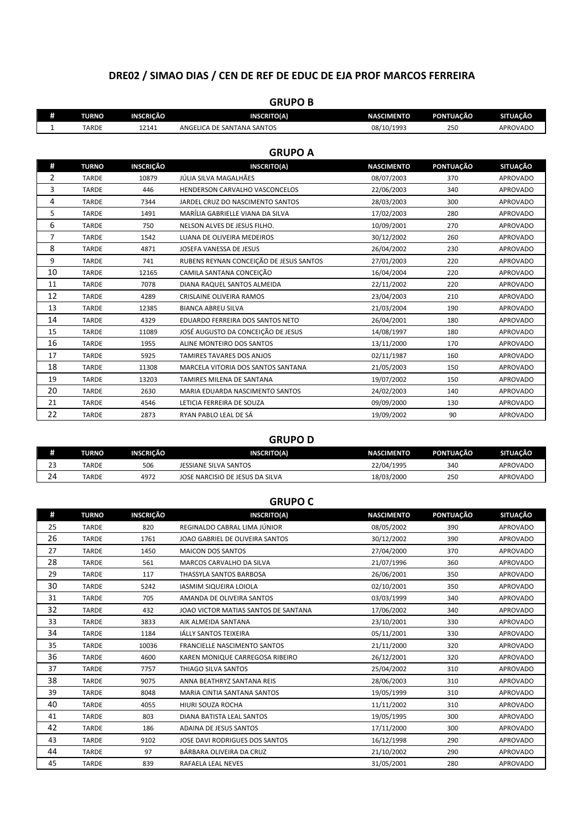## **DRE02 / SIMAO DIAS / CEN DE REF DE EDUC DE EJA PROF MARCOS FERREIRA**

|    | unuru d      |                  |                                         |                   |                  |                 |  |
|----|--------------|------------------|-----------------------------------------|-------------------|------------------|-----------------|--|
| #  | <b>TURNO</b> | <b>INSCRIÇÃO</b> | <b>INSCRITO(A)</b>                      | <b>NASCIMENTO</b> | PONTUAÇÃO        | <b>SITUAÇÃO</b> |  |
| 1  | <b>TARDE</b> | 12141            | ANGELICA DE SANTANA SANTOS              | 08/10/1993        | 250              | <b>APROVADO</b> |  |
|    |              |                  |                                         |                   |                  |                 |  |
|    |              |                  | <b>GRUPO A</b>                          |                   |                  |                 |  |
| #  | <b>TURNO</b> | <b>INSCRIÇÃO</b> | <b>INSCRITO(A)</b>                      | <b>NASCIMENTO</b> | <b>PONTUAÇÃO</b> | <b>SITUAÇÃO</b> |  |
| 2  | <b>TARDE</b> | 10879            | JÚLIA SILVA MAGALHÃES                   | 08/07/2003        | 370              | <b>APROVADO</b> |  |
| 3  | <b>TARDE</b> | 446              | HENDERSON CARVALHO VASCONCELOS          | 22/06/2003        | 340              | <b>APROVADO</b> |  |
| 4  | <b>TARDE</b> | 7344             | JARDEL CRUZ DO NASCIMENTO SANTOS        | 28/03/2003        | 300              | <b>APROVADO</b> |  |
| 5  | <b>TARDE</b> | 1491             | MARÍLIA GABRIELLE VIANA DA SILVA        | 17/02/2003        | 280              | <b>APROVADO</b> |  |
| 6  | <b>TARDE</b> | 750              | NELSON ALVES DE JESUS FILHO.            | 10/09/2001        | 270              | <b>APROVADO</b> |  |
| 7  | <b>TARDE</b> | 1542             | LUANA DE OLIVEIRA MEDEIROS              | 30/12/2002        | 260              | <b>APROVADO</b> |  |
| 8  | <b>TARDE</b> | 4871             | JOSEFA VANESSA DE JESUS                 | 26/04/2002        | 230              | <b>APROVADO</b> |  |
| 9  | <b>TARDE</b> | 741              | RUBENS REYNAN CONCEIÇÃO DE JESUS SANTOS | 27/01/2003        | 220              | <b>APROVADO</b> |  |
| 10 | <b>TARDE</b> | 12165            | CAMILA SANTANA CONCEIÇÃO                | 16/04/2004        | 220              | <b>APROVADO</b> |  |
| 11 | <b>TARDE</b> | 7078             | DIANA RAQUEL SANTOS ALMEIDA             | 22/11/2002        | 220              | <b>APROVADO</b> |  |
| 12 | <b>TARDE</b> | 4289             | CRISLAINE OLIVEIRA RAMOS                | 23/04/2003        | 210              | <b>APROVADO</b> |  |
| 13 | <b>TARDE</b> | 12385            | <b>BIANCA ABREU SILVA</b>               | 21/03/2004        | 190              | <b>APROVADO</b> |  |
| 14 | <b>TARDE</b> | 4329             | EDUARDO FERREIRA DOS SANTOS NETO        | 26/04/2001        | 180              | <b>APROVADO</b> |  |
| 15 | <b>TARDE</b> | 11089            | JOSÉ AUGUSTO DA CONCEIÇÃO DE JESUS      | 14/08/1997        | 180              | <b>APROVADO</b> |  |
| 16 | <b>TARDE</b> | 1955             | ALINE MONTEIRO DOS SANTOS               | 13/11/2000        | 170              | <b>APROVADO</b> |  |
| 17 | <b>TARDE</b> | 5925             | TAMIRES TAVARES DOS ANJOS               | 02/11/1987        | 160              | <b>APROVADO</b> |  |
| 18 | <b>TARDE</b> | 11308            | MARCELA VITORIA DOS SANTOS SANTANA      | 21/05/2003        | 150              | <b>APROVADO</b> |  |
| 19 | <b>TARDE</b> | 13203            | TAMIRES MILENA DE SANTANA               | 19/07/2002        | 150              | <b>APROVADO</b> |  |
| 20 | <b>TARDE</b> | 2630             | MARIA EDUARDA NASCIMENTO SANTOS         | 24/02/2003        | 140              | <b>APROVADO</b> |  |
| 21 | <b>TARDE</b> | 4546             | LETICIA FERREIRA DE SOUZA               | 09/09/2000        | 130              | <b>APROVADO</b> |  |
| 22 | <b>TARDE</b> | 2873             | RYAN PABLO LEAL DE SÁ                   | 19/09/2002        | 90               | <b>APROVADO</b> |  |
|    |              |                  |                                         |                   |                  |                 |  |

## **GRUPO D**

| #        | TURNO        | <b>INSCRICÃO</b> | <b>INSCRITO(A)</b>              | <b>NASCIMENTO</b> | PONTUACÃO | <b>SITUACÃO</b> |
|----------|--------------|------------------|---------------------------------|-------------------|-----------|-----------------|
| າາ<br>23 | <b>TARDE</b> | 506              | JESSIANE SILVA SANTOS           | 22/04/1995        | 340       | APROVADO        |
| 24       | TARDE        | 4972             | JOSE NARCISIO DE JESUS DA SILVA | 18/03/2000        | 250       | <b>APROVADO</b> |

|    |              |                  | <b>GRUPO C</b>                       |                   |                  |                 |
|----|--------------|------------------|--------------------------------------|-------------------|------------------|-----------------|
| #  | <b>TURNO</b> | <b>INSCRIÇÃO</b> | <b>INSCRITO(A)</b>                   | <b>NASCIMENTO</b> | <b>PONTUAÇÃO</b> | <b>SITUAÇÃO</b> |
| 25 | <b>TARDE</b> | 820              | REGINALDO CABRAL LIMA JÚNIOR         | 08/05/2002        | 390              | <b>APROVADO</b> |
| 26 | <b>TARDE</b> | 1761             | JOAO GABRIEL DE OLIVEIRA SANTOS      | 30/12/2002        | 390              | <b>APROVADO</b> |
| 27 | <b>TARDE</b> | 1450             | <b>MAICON DOS SANTOS</b>             | 27/04/2000        | 370              | <b>APROVADO</b> |
| 28 | <b>TARDE</b> | 561              | MARCOS CARVALHO DA SILVA             | 21/07/1996        | 360              | <b>APROVADO</b> |
| 29 | <b>TARDE</b> | 117              | THASSYLA SANTOS BARBOSA              | 26/06/2001        | 350              | <b>APROVADO</b> |
| 30 | <b>TARDE</b> | 5242             | <b>IASMIM SIQUEIRA LOIOLA</b>        | 02/10/2001        | 350              | <b>APROVADO</b> |
| 31 | <b>TARDE</b> | 705              | AMANDA DE OLIVEIRA SANTOS            | 03/03/1999        | 340              | <b>APROVADO</b> |
| 32 | <b>TARDE</b> | 432              | JOAO VICTOR MATIAS SANTOS DE SANTANA | 17/06/2002        | 340              | <b>APROVADO</b> |
| 33 | <b>TARDE</b> | 3833             | AIK ALMEIDA SANTANA                  | 23/10/2001        | 330              | <b>APROVADO</b> |
| 34 | <b>TARDE</b> | 1184             | <b>IÁLLY SANTOS TEIXEIRA</b>         | 05/11/2001        | 330              | <b>APROVADO</b> |
| 35 | <b>TARDE</b> | 10036            | FRANCIELLE NASCIMENTO SANTOS         | 21/11/2000        | 320              | <b>APROVADO</b> |
| 36 | <b>TARDE</b> | 4600             | KAREN MONIQUE CARREGOSA RIBEIRO      | 26/12/2001        | 320              | <b>APROVADO</b> |
| 37 | <b>TARDE</b> | 7757             | THIAGO SILVA SANTOS                  | 25/04/2002        | 310              | <b>APROVADO</b> |
| 38 | <b>TARDE</b> | 9075             | ANNA BEATHRYZ SANTANA REIS           | 28/06/2003        | 310              | <b>APROVADO</b> |
| 39 | <b>TARDE</b> | 8048             | MARIA CINTIA SANTANA SANTOS          | 19/05/1999        | 310              | <b>APROVADO</b> |
| 40 | <b>TARDE</b> | 4055             | HIURI SOUZA ROCHA                    | 11/11/2002        | 310              | <b>APROVADO</b> |
| 41 | <b>TARDE</b> | 803              | DIANA BATISTA LEAL SANTOS            | 19/05/1995        | 300              | <b>APROVADO</b> |
| 42 | <b>TARDE</b> | 186              | <b>ADAINA DE JESUS SANTOS</b>        | 17/11/2000        | 300              | <b>APROVADO</b> |
| 43 | <b>TARDE</b> | 9102             | JOSE DAVI RODRIGUES DOS SANTOS       | 16/12/1998        | 290              | <b>APROVADO</b> |
| 44 | <b>TARDE</b> | 97               | BÁRBARA OLIVEIRA DA CRUZ             | 21/10/2002        | 290              | <b>APROVADO</b> |
| 45 | <b>TARDE</b> | 839              | RAFAELA LEAL NEVES                   | 31/05/2001        | 280              | <b>APROVADO</b> |

## **GRUPO B**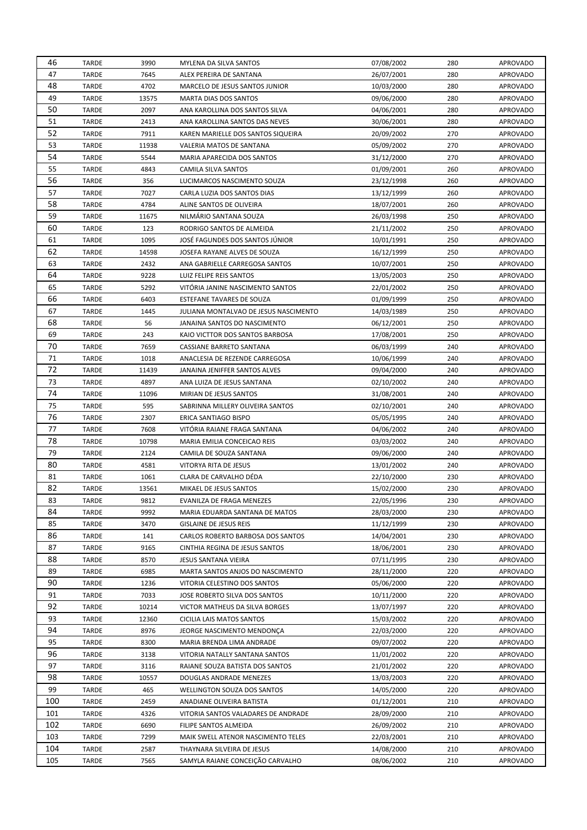| 46  | TARDE        | 3990  | MYLENA DA SILVA SANTOS                | 07/08/2002 | 280 | <b>APROVADO</b> |
|-----|--------------|-------|---------------------------------------|------------|-----|-----------------|
| 47  | <b>TARDE</b> | 7645  | ALEX PEREIRA DE SANTANA               | 26/07/2001 | 280 | <b>APROVADO</b> |
| 48  | TARDE        | 4702  | MARCELO DE JESUS SANTOS JUNIOR        | 10/03/2000 | 280 | <b>APROVADO</b> |
| 49  | TARDE        | 13575 | MARTA DIAS DOS SANTOS                 | 09/06/2000 | 280 | <b>APROVADO</b> |
| 50  | <b>TARDE</b> | 2097  | ANA KAROLLINA DOS SANTOS SILVA        | 04/06/2001 | 280 | <b>APROVADO</b> |
| 51  | <b>TARDE</b> | 2413  | ANA KAROLLINA SANTOS DAS NEVES        | 30/06/2001 | 280 | <b>APROVADO</b> |
| 52  | TARDE        | 7911  | KAREN MARIELLE DOS SANTOS SIQUEIRA    | 20/09/2002 | 270 | <b>APROVADO</b> |
| 53  | <b>TARDE</b> | 11938 | VALERIA MATOS DE SANTANA              | 05/09/2002 | 270 | <b>APROVADO</b> |
| 54  | <b>TARDE</b> | 5544  | MARIA APARECIDA DOS SANTOS            | 31/12/2000 | 270 | <b>APROVADO</b> |
| 55  | TARDE        | 4843  | CAMILA SILVA SANTOS                   | 01/09/2001 | 260 | <b>APROVADO</b> |
| 56  | TARDE        | 356   | LUCIMARCOS NASCIMENTO SOUZA           | 23/12/1998 | 260 | <b>APROVADO</b> |
| 57  | <b>TARDE</b> | 7027  | CARLA LUZIA DOS SANTOS DIAS           | 13/12/1999 | 260 | <b>APROVADO</b> |
| 58  | <b>TARDE</b> | 4784  | ALINE SANTOS DE OLIVEIRA              | 18/07/2001 | 260 | <b>APROVADO</b> |
| 59  | TARDE        | 11675 | NILMÁRIO SANTANA SOUZA                | 26/03/1998 | 250 | <b>APROVADO</b> |
| 60  | TARDE        | 123   | RODRIGO SANTOS DE ALMEIDA             | 21/11/2002 | 250 | <b>APROVADO</b> |
| 61  | <b>TARDE</b> | 1095  | JOSÉ FAGUNDES DOS SANTOS JÚNIOR       | 10/01/1991 | 250 | <b>APROVADO</b> |
| 62  | TARDE        | 14598 | JOSEFA RAYANE ALVES DE SOUZA          | 16/12/1999 | 250 | <b>APROVADO</b> |
| 63  | TARDE        | 2432  | ANA GABRIELLE CARREGOSA SANTOS        | 10/07/2001 | 250 | <b>APROVADO</b> |
| 64  | <b>TARDE</b> | 9228  | LUIZ FELIPE REIS SANTOS               | 13/05/2003 | 250 | <b>APROVADO</b> |
| 65  | TARDE        | 5292  | VITÓRIA JANINE NASCIMENTO SANTOS      | 22/01/2002 | 250 | <b>APROVADO</b> |
| 66  | TARDE        | 6403  | ESTEFANE TAVARES DE SOUZA             | 01/09/1999 | 250 | <b>APROVADO</b> |
| 67  | <b>TARDE</b> | 1445  | JULIANA MONTALVAO DE JESUS NASCIMENTO | 14/03/1989 | 250 | <b>APROVADO</b> |
| 68  | <b>TARDE</b> | 56    | JANAINA SANTOS DO NASCIMENTO          | 06/12/2001 | 250 | <b>APROVADO</b> |
| 69  | TARDE        | 243   | KAIO VICTTOR DOS SANTOS BARBOSA       | 17/08/2001 | 250 | <b>APROVADO</b> |
| 70  | <b>TARDE</b> | 7659  | CASSIANE BARRETO SANTANA              | 06/03/1999 | 240 | <b>APROVADO</b> |
| 71  | <b>TARDE</b> | 1018  | ANACLESIA DE REZENDE CARREGOSA        | 10/06/1999 | 240 | <b>APROVADO</b> |
| 72  |              |       |                                       |            | 240 |                 |
| 73  | TARDE        | 11439 | JANAINA JENIFFER SANTOS ALVES         | 09/04/2000 | 240 | <b>APROVADO</b> |
| 74  | TARDE        | 4897  | ANA LUIZA DE JESUS SANTANA            | 02/10/2002 |     | <b>APROVADO</b> |
| 75  | TARDE        | 11096 | MIRIAN DE JESUS SANTOS                | 31/08/2001 | 240 | <b>APROVADO</b> |
| 76  | TARDE        | 595   | SABRINNA MILLERY OLIVEIRA SANTOS      | 02/10/2001 | 240 | <b>APROVADO</b> |
| 77  | TARDE        | 2307  | ERICA SANTIAGO BISPO                  | 05/05/1995 | 240 | <b>APROVADO</b> |
| 78  | TARDE        | 7608  | VITÓRIA RAIANE FRAGA SANTANA          | 04/06/2002 | 240 | <b>APROVADO</b> |
| 79  | TARDE        | 10798 | MARIA EMILIA CONCEICAO REIS           | 03/03/2002 | 240 | <b>APROVADO</b> |
| 80  | TARDE        | 2124  | CAMILA DE SOUZA SANTANA               | 09/06/2000 | 240 | <b>APROVADO</b> |
|     | TARDE        | 4581  | VITORYA RITA DE JESUS                 | 13/01/2002 | 240 | <b>APROVADO</b> |
| 81  | TARDE        | 1061  | CLARA DE CARVALHO DÉDA                | 22/10/2000 | 230 | <b>APROVADO</b> |
| 82  | TARDE        | 13561 | MIKAEL DE JESUS SANTOS                | 15/02/2000 | 230 | <b>APROVADO</b> |
| 83  | TARDE        | 9812  | EVANILZA DE FRAGA MENEZES             | 22/05/1996 | 230 | <b>APROVADO</b> |
| 84  | <b>TARDE</b> | 9992  | MARIA EDUARDA SANTANA DE MATOS        | 28/03/2000 | 230 | <b>APROVADO</b> |
| 85  | <b>TARDE</b> | 3470  | <b>GISLAINE DE JESUS REIS</b>         | 11/12/1999 | 230 | <b>APROVADO</b> |
| 86  | <b>TARDE</b> | 141   | CARLOS ROBERTO BARBOSA DOS SANTOS     | 14/04/2001 | 230 | <b>APROVADO</b> |
| 87  | <b>TARDE</b> | 9165  | CINTHIA REGINA DE JESUS SANTOS        | 18/06/2001 | 230 | <b>APROVADO</b> |
| 88  | <b>TARDE</b> | 8570  | JESUS SANTANA VIEIRA                  | 07/11/1995 | 230 | <b>APROVADO</b> |
| 89  | <b>TARDE</b> | 6985  | MARTA SANTOS ANJOS DO NASCIMENTO      | 28/11/2000 | 220 | <b>APROVADO</b> |
| 90  | <b>TARDE</b> | 1236  | VITORIA CELESTINO DOS SANTOS          | 05/06/2000 | 220 | <b>APROVADO</b> |
| 91  | <b>TARDE</b> | 7033  | JOSE ROBERTO SILVA DOS SANTOS         | 10/11/2000 | 220 | <b>APROVADO</b> |
| 92  | <b>TARDE</b> | 10214 | VICTOR MATHEUS DA SILVA BORGES        | 13/07/1997 | 220 | <b>APROVADO</b> |
| 93  | <b>TARDE</b> | 12360 | CICILIA LAIS MATOS SANTOS             | 15/03/2002 | 220 | <b>APROVADO</b> |
| 94  | <b>TARDE</b> | 8976  | JEORGE NASCIMENTO MENDONÇA            | 22/03/2000 | 220 | <b>APROVADO</b> |
| 95  | <b>TARDE</b> | 8300  | MARIA BRENDA LIMA ANDRADE             | 09/07/2002 | 220 | <b>APROVADO</b> |
| 96  | <b>TARDE</b> | 3138  | VITORIA NATALLY SANTANA SANTOS        | 11/01/2002 | 220 | <b>APROVADO</b> |
| 97  | <b>TARDE</b> | 3116  | RAIANE SOUZA BATISTA DOS SANTOS       | 21/01/2002 | 220 | <b>APROVADO</b> |
| 98  | <b>TARDE</b> | 10557 | DOUGLAS ANDRADE MENEZES               | 13/03/2003 | 220 | <b>APROVADO</b> |
| 99  | <b>TARDE</b> | 465   | WELLINGTON SOUZA DOS SANTOS           | 14/05/2000 | 220 | <b>APROVADO</b> |
| 100 | <b>TARDE</b> | 2459  | ANADIANE OLIVEIRA BATISTA             | 01/12/2001 | 210 | <b>APROVADO</b> |
| 101 | <b>TARDE</b> | 4326  | VITORIA SANTOS VALADARES DE ANDRADE   | 28/09/2000 | 210 | <b>APROVADO</b> |
| 102 | <b>TARDE</b> | 6690  | FILIPE SANTOS ALMEIDA                 | 26/09/2002 | 210 | <b>APROVADO</b> |
| 103 | <b>TARDE</b> | 7299  | MAIK SWELL ATENOR NASCIMENTO TELES    | 22/03/2001 | 210 | <b>APROVADO</b> |
| 104 | <b>TARDE</b> | 2587  | THAYNARA SILVEIRA DE JESUS            | 14/08/2000 | 210 | <b>APROVADO</b> |
| 105 | <b>TARDE</b> | 7565  | SAMYLA RAIANE CONCEIÇÃO CARVALHO      | 08/06/2002 | 210 | <b>APROVADO</b> |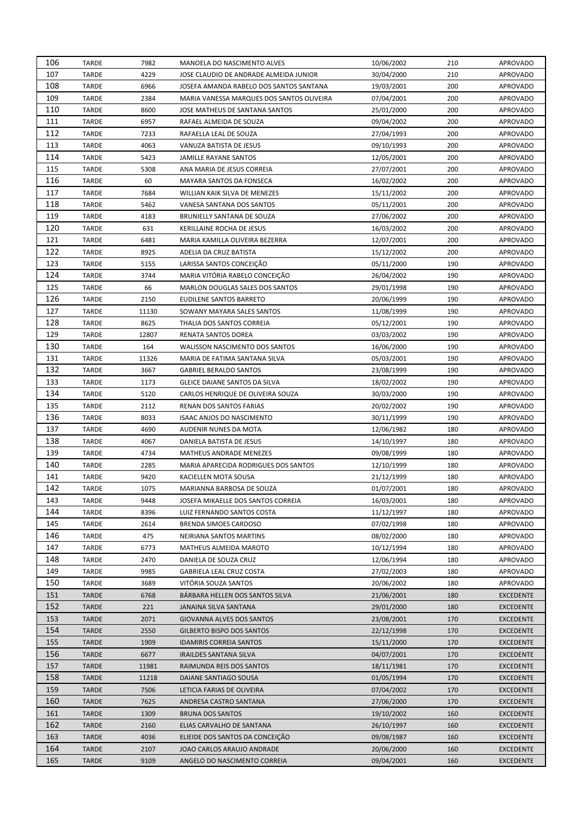| 106 | TARDE        | 7982  | MANOELA DO NASCIMENTO ALVES               | 10/06/2002               | 210 | <b>APROVADO</b>  |
|-----|--------------|-------|-------------------------------------------|--------------------------|-----|------------------|
| 107 | <b>TARDE</b> | 4229  | JOSE CLAUDIO DE ANDRADE ALMEIDA JUNIOR    | 30/04/2000               | 210 | <b>APROVADO</b>  |
| 108 | TARDE        | 6966  | JOSEFA AMANDA RABELO DOS SANTOS SANTANA   | 19/03/2001               | 200 | <b>APROVADO</b>  |
| 109 | TARDE        | 2384  | MARIA VANESSA MARQUES DOS SANTOS OLIVEIRA | 07/04/2001               | 200 | <b>APROVADO</b>  |
| 110 | <b>TARDE</b> | 8600  | JOSE MATHEUS DE SANTANA SANTOS            | 25/01/2000               | 200 | <b>APROVADO</b>  |
| 111 | <b>TARDE</b> | 6957  | RAFAEL ALMEIDA DE SOUZA                   | 09/04/2002               | 200 | <b>APROVADO</b>  |
| 112 | TARDE        | 7233  | RAFAELLA LEAL DE SOUZA                    | 27/04/1993               | 200 | <b>APROVADO</b>  |
| 113 | TARDE        | 4063  | VANUZA BATISTA DE JESUS                   | 09/10/1993               | 200 | <b>APROVADO</b>  |
| 114 | <b>TARDE</b> | 5423  | JAMILLE RAYANE SANTOS                     | 12/05/2001               | 200 | <b>APROVADO</b>  |
| 115 | <b>TARDE</b> | 5308  | ANA MARIA DE JESUS CORREIA                | 27/07/2001               | 200 | <b>APROVADO</b>  |
| 116 | TARDE        | 60    | MAYARA SANTOS DA FONSECA                  | 16/02/2002               | 200 | <b>APROVADO</b>  |
| 117 | TARDE        | 7684  | WILLIAN KAIK SILVA DE MENEZES             | 15/11/2002               | 200 | <b>APROVADO</b>  |
| 118 | <b>TARDE</b> | 5462  | VANESA SANTANA DOS SANTOS                 | 05/11/2001               | 200 | <b>APROVADO</b>  |
| 119 | <b>TARDE</b> | 4183  | BRUNIELLY SANTANA DE SOUZA                | 27/06/2002               | 200 | <b>APROVADO</b>  |
| 120 | TARDE        | 631   | KERILLAINE ROCHA DE JESUS                 | 16/03/2002               | 200 | <b>APROVADO</b>  |
| 121 | <b>TARDE</b> | 6481  | MARIA KAMILLA OLIVEIRA BEZERRA            | 12/07/2001               | 200 | <b>APROVADO</b>  |
| 122 | <b>TARDE</b> | 8925  | ADELIA DA CRUZ BATISTA                    | 15/12/2002               | 200 | <b>APROVADO</b>  |
| 123 | TARDE        | 5155  | LARISSA SANTOS CONCEIÇÃO                  | 05/11/2000               | 190 | <b>APROVADO</b>  |
| 124 | TARDE        | 3744  | MARIA VITÓRIA RABELO CONCEIÇÃO            | 26/04/2002               | 190 | <b>APROVADO</b>  |
| 125 | TARDE        | 66    | MARLON DOUGLAS SALES DOS SANTOS           |                          | 190 | <b>APROVADO</b>  |
| 126 |              |       | <b>EUDILENE SANTOS BARRETO</b>            | 29/01/1998<br>20/06/1999 |     |                  |
|     | <b>TARDE</b> | 2150  | SOWANY MAYARA SALES SANTOS                |                          | 190 | <b>APROVADO</b>  |
| 127 | TARDE        | 11130 |                                           | 11/08/1999               | 190 | <b>APROVADO</b>  |
| 128 | TARDE        | 8625  | THALIA DOS SANTOS CORREIA                 | 05/12/2001               | 190 | <b>APROVADO</b>  |
| 129 | TARDE        | 12807 | RENATA SANTOS DOREA                       | 03/03/2002               | 190 | <b>APROVADO</b>  |
| 130 | TARDE        | 164   | WALISSON NASCIMENTO DOS SANTOS            | 16/06/2000               | 190 | <b>APROVADO</b>  |
| 131 | TARDE        | 11326 | MARIA DE FATIMA SANTANA SILVA             | 05/03/2001               | 190 | <b>APROVADO</b>  |
| 132 | TARDE        | 3667  | <b>GABRIEL BERALDO SANTOS</b>             | 23/08/1999               | 190 | <b>APROVADO</b>  |
| 133 | TARDE        | 1173  | GLEICE DAIANE SANTOS DA SILVA             | 18/02/2002               | 190 | <b>APROVADO</b>  |
| 134 | TARDE        | 5120  | CARLOS HENRIQUE DE OLIVEIRA SOUZA         | 30/03/2000               | 190 | <b>APROVADO</b>  |
| 135 | TARDE        | 2112  | RENAN DOS SANTOS FARIAS                   | 20/02/2002               | 190 | <b>APROVADO</b>  |
| 136 | TARDE        | 8033  | ISAAC ANJOS DO NASCIMENTO                 | 30/11/1999               | 190 | <b>APROVADO</b>  |
| 137 | TARDE        | 4690  | AUDENIR NUNES DA MOTA                     | 12/06/1982               | 180 | <b>APROVADO</b>  |
| 138 | TARDE        | 4067  | DANIELA BATISTA DE JESUS                  | 14/10/1997               | 180 | <b>APROVADO</b>  |
| 139 | TARDE        | 4734  | MATHEUS ANDRADE MENEZES                   | 09/08/1999               | 180 | <b>APROVADO</b>  |
| 140 | TARDE        | 2285  | MARIA APARECIDA RODRIGUES DOS SANTOS      | 12/10/1999               | 180 | <b>APROVADO</b>  |
| 141 | TARDE        | 9420  | KACIELLEN MOTA SOUSA                      | 21/12/1999               | 180 | <b>APROVADO</b>  |
| 142 | TARDE        | 1075  | MARIANNA BARBOSA DE SOUZA                 | 01/07/2001               | 180 | <b>APROVADO</b>  |
| 143 | TARDE        | 9448  | JOSEFA MIKAELLE DOS SANTOS CORREIA        | 16/03/2001               | 180 | <b>APROVADO</b>  |
| 144 | <b>TARDE</b> | 8396  | LUIZ FERNANDO SANTOS COSTA                | 11/12/1997               | 180 | <b>APROVADO</b>  |
| 145 | <b>TARDE</b> | 2614  | BRENDA SIMOES CARDOSO                     | 07/02/1998               | 180 | <b>APROVADO</b>  |
| 146 | <b>TARDE</b> | 475   | NEIRIANA SANTOS MARTINS                   | 08/02/2000               | 180 | <b>APROVADO</b>  |
| 147 | <b>TARDE</b> | 6773  | MATHEUS ALMEIDA MAROTO                    | 10/12/1994               | 180 | <b>APROVADO</b>  |
| 148 | <b>TARDE</b> | 2470  | DANIELA DE SOUZA CRUZ                     | 12/06/1994               | 180 | <b>APROVADO</b>  |
| 149 | <b>TARDE</b> | 9985  | GABRIELA LEAL CRUZ COSTA                  | 27/02/2003               | 180 | <b>APROVADO</b>  |
| 150 | <b>TARDE</b> | 3689  | VITÓRIA SOUZA SANTOS                      | 20/06/2002               | 180 | <b>APROVADO</b>  |
| 151 | <b>TARDE</b> | 6768  | BÁRBARA HELLEN DOS SANTOS SILVA           | 21/06/2001               | 180 | <b>EXCEDENTE</b> |
| 152 | <b>TARDE</b> | 221   | JANAINA SILVA SANTANA                     | 29/01/2000               | 180 | <b>EXCEDENTE</b> |
| 153 | <b>TARDE</b> | 2071  | <b>GIOVANNA ALVES DOS SANTOS</b>          | 23/08/2001               | 170 | <b>EXCEDENTE</b> |
| 154 | <b>TARDE</b> | 2550  | <b>GILBERTO BISPO DOS SANTOS</b>          | 22/12/1998               | 170 | <b>EXCEDENTE</b> |
| 155 | <b>TARDE</b> | 1909  | <b>IDAMIRIS CORREIA SANTOS</b>            | 15/11/2000               | 170 | <b>EXCEDENTE</b> |
| 156 | <b>TARDE</b> | 6677  | <b>IRAILDES SANTANA SILVA</b>             | 04/07/2001               | 170 | <b>EXCEDENTE</b> |
| 157 | <b>TARDE</b> | 11981 | RAIMUNDA REIS DOS SANTOS                  | 18/11/1981               | 170 | <b>EXCEDENTE</b> |
| 158 | <b>TARDE</b> | 11218 | DAIANE SANTIAGO SOUSA                     | 01/05/1994               | 170 | <b>EXCEDENTE</b> |
| 159 | <b>TARDE</b> | 7506  | LETICIA FARIAS DE OLIVEIRA                | 07/04/2002               | 170 | <b>EXCEDENTE</b> |
| 160 | <b>TARDE</b> | 7625  | ANDRESA CASTRO SANTANA                    | 27/06/2000               | 170 | <b>EXCEDENTE</b> |
| 161 | <b>TARDE</b> | 1309  | <b>BRUNA DOS SANTOS</b>                   | 19/10/2002               | 160 | <b>EXCEDENTE</b> |
| 162 | <b>TARDE</b> | 2160  | ELIAS CARVALHO DE SANTANA                 | 26/10/1997               | 160 | <b>EXCEDENTE</b> |
| 163 | <b>TARDE</b> | 4036  | ELIEIDE DOS SANTOS DA CONCEIÇÃO           | 09/08/1987               | 160 | <b>EXCEDENTE</b> |
| 164 | <b>TARDE</b> | 2107  | JOAO CARLOS ARAUJO ANDRADE                | 20/06/2000               | 160 | <b>EXCEDENTE</b> |
| 165 | <b>TARDE</b> | 9109  | ANGELO DO NASCIMENTO CORREIA              | 09/04/2001               | 160 | <b>EXCEDENTE</b> |